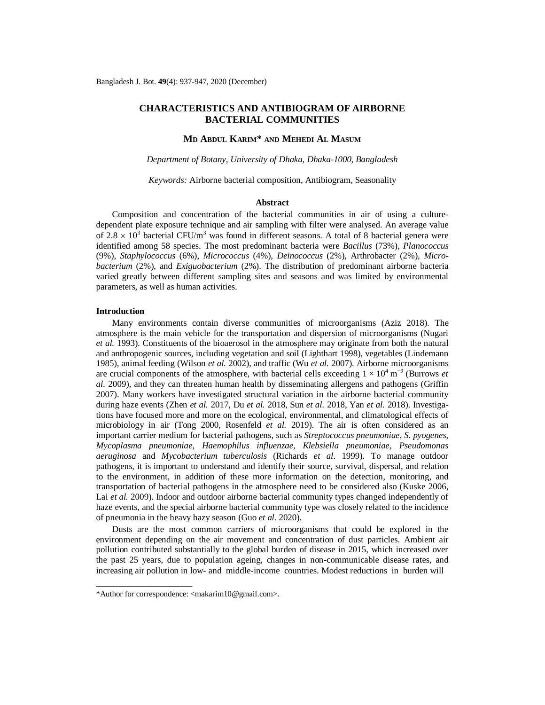# **CHARACTERISTICS AND ANTIBIOGRAM OF AIRBORNE BACTERIAL COMMUNITIES**

## **MD ABDUL KARIM\* AND MEHEDI AL MASUM**

*Department of Botany, University of Dhaka, Dhaka-1000, Bangladesh*

*Keywords:* Airborne bacterial composition, Antibiogram, Seasonality

#### **Abstract**

Composition and concentration of the bacterial communities in air of using a culturedependent plate exposure technique and air sampling with filter were analysed. An average value of 2.8  $\times$  10<sup>3</sup> bacterial CFU/m<sup>3</sup> was found in different seasons. A total of 8 bacterial genera were identified among 58 species. The most predominant bacteria were *Bacillus* (73%), *Planococcus*  (9%), *Staphylococcus* (6%), *Micrococcus* (4%), *Deinococcus* (2%), Arthrobacter (2%), *Microbacterium* (2%), and *Exiguobacterium* (2%). The distribution of predominant airborne bacteria varied greatly between different sampling sites and seasons and was limited by environmental parameters, as well as human activities.

### **Introduction**

Many environments contain diverse communities of microorganisms (Aziz 2018). The atmosphere is the main vehicle for the transportation and dispersion of microorganisms (Nugari *et al.* 1993). Constituents of the bioaerosol in the atmosphere may originate from both the natural and anthropogenic sources, including vegetation and soil (Lighthart 1998), vegetables (Lindemann 1985), animal feeding (Wilson *et al.* 2002), and traffic (Wu *et al.* 2007). Airborne microorganisms are crucial components of the atmosphere, with bacterial cells exceeding  $1 \times 10^4$  m<sup>-3</sup> (Burrows *et al.* 2009), and they can threaten human health by disseminating allergens and pathogens (Griffin 2007). Many workers have investigated structural variation in the airborne bacterial community during haze events (Zhen *et al.* 2017, Du *et al.* 2018, Sun *et al.* 2018, Yan *et al.* 2018). Investigations have focused more and more on the ecological, environmental, and climatological effects of microbiology in air (Tong 2000, Rosenfeld *et al.* 2019). The air is often considered as an important carrier medium for bacterial pathogens, such as *Streptococcus pneumoniae*, *S. pyogenes*, *Mycoplasma pneumoniae*, *Haemophilus influenzae*, *Klebsiella pneumoniae*, *Pseudomonas aeruginosa* and *Mycobacterium tuberculosis* (Richards *et al*. 1999). To manage outdoor pathogens, it is important to understand and identify their source, survival, dispersal, and relation to the environment, in addition of these more information on the detection, monitoring, and transportation of bacterial pathogens in the atmosphere need to be considered also (Kuske 2006, Lai *et al.* 2009). Indoor and outdoor airborne bacterial community types changed independently of haze events, and the special airborne bacterial community type was closely related to the incidence of pneumonia in the heavy hazy season (Guo *et al.* 2020).

Dusts are the most common carriers of microorganisms that could be explored in the environment depending on the air movement and concentration of dust particles. Ambient air pollution contributed substantially to the global burden of disease in 2015, which increased over the past 25 years, due to population ageing, changes in non-communicable disease rates, and increasing air pollution in low- and middle-income countries. Modest reductions in burden will

<sup>\*</sup>Author for correspondence: [<makarim10@gmail.com>](mailto:makarim10@gmail.com).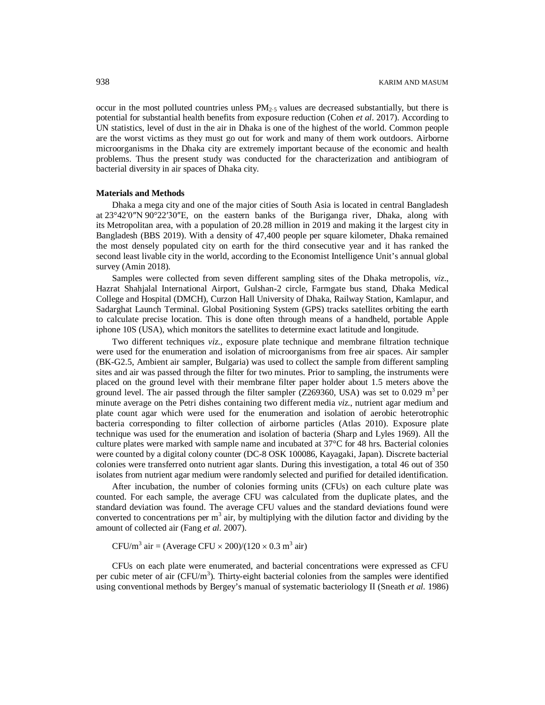occur in the most polluted countries unless  $PM_{2.5}$  values are decreased substantially, but there is potential for substantial health benefits from exposure reduction (Cohen *et al*. 2017). According to UN statistics, level of dust in the air in Dhaka is one of the highest of the world. Common people are the worst victims as they must go out for work and many of them work outdoors. Airborne microorganisms in the Dhaka city are extremely important because of the economic and health problems. Thus the present study was conducted for the characterization and antibiogram of bacterial diversity in air spaces of Dhaka city.

#### **Materials and Methods**

Dhaka a mega city and one of the major cities of South Asia is located in central Bangladesh at 23°42′0″N 90°22′30″E, on the eastern banks of the Buriganga river, Dhaka, along with its Metropolitan area, with a population of 20.28 million in 2019 and making it the largest city in Bangladesh (BBS 2019). With a density of 47,400 people per square kilometer, Dhaka remained the most densely populated city on earth for the third consecutive year and it has ranked the second least livable city in the world, according to the Economist Intelligence Unit's annual global survey (Amin 2018).

Samples were collected from seven different sampling sites of the Dhaka metropolis, *viz*., Hazrat Shahjalal International Airport, Gulshan-2 circle, Farmgate bus stand, Dhaka Medical College and Hospital (DMCH), Curzon Hall University of Dhaka, Railway Station, Kamlapur, and Sadarghat Launch Terminal. Global Positioning System (GPS) tracks satellites orbiting the earth to calculate precise location. This is done often through means of a handheld, portable Apple iphone 10S (USA), which monitors the satellites to determine exact latitude and longitude.

Two different techniques *viz*., exposure plate technique and membrane filtration technique were used for the enumeration and isolation of microorganisms from free air spaces. Air sampler (BK-G2.5, Ambient air sampler, Bulgaria) was used to collect the sample from different sampling sites and air was passed through the filter for two minutes. Prior to sampling, the instruments were placed on the ground level with their membrane filter paper holder about 1.5 meters above the ground level. The air passed through the filter sampler (Z269360, USA) was set to 0.029  $\text{m}^3$  per minute average on the Petri dishes containing two different media *viz*., nutrient agar medium and plate count agar which were used for the enumeration and isolation of aerobic heterotrophic bacteria corresponding to filter collection of airborne particles (Atlas 2010). Exposure plate technique was used for the enumeration and isolation of bacteria (Sharp and Lyles 1969). All the culture plates were marked with sample name and incubated at 37°C for 48 hrs. Bacterial colonies were counted by a digital colony counter (DC-8 OSK 100086, Kayagaki, Japan). Discrete bacterial colonies were transferred onto nutrient agar slants. During this investigation, a total 46 out of 350 isolates from nutrient agar medium were randomly selected and purified for detailed identification.

After incubation, the number of colonies forming units (CFUs) on each culture plate was counted. For each sample, the average CFU was calculated from the duplicate plates, and the standard deviation was found. The average CFU values and the standard deviations found were converted to concentrations per  $m<sup>3</sup>$  air, by multiplying with the dilution factor and dividing by the amount of collected air (Fang *et al.* 2007).

CFU/m<sup>3</sup> air = (Average CFU  $\times$  200)/(120  $\times$  0.3 m<sup>3</sup> air)

CFUs on each plate were enumerated, and bacterial concentrations were expressed as CFU per cubic meter of air  $(CFU/m^3)$ . Thirty-eight bacterial colonies from the samples were identified using conventional methods by Bergey's manual of systematic bacteriology II (Sneath *et al.* 1986)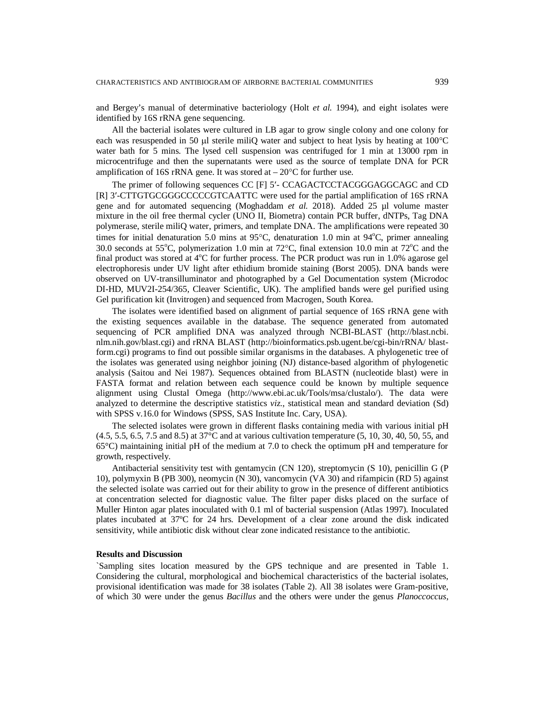and Bergey's manual of determinative bacteriology (Holt *et al.* 1994), and eight isolates were identified by 16S rRNA gene sequencing.

All the bacterial isolates were cultured in LB agar to grow single colony and one colony for each was resuspended in 50  $\mu$  sterile miliQ water and subject to heat lysis by heating at 100 $^{\circ}$ C water bath for 5 mins. The lysed cell suspension was centrifuged for 1 min at 13000 rpm in microcentrifuge and then the supernatants were used as the source of template DNA for PCR amplification of 16S rRNA gene. It was stored at  $-20^{\circ}$ C for further use.

The primer of following sequences CC [F] 5- CCAGACTCCTACGGGAGGCAGC and CD [R] 3-CTTGTGCGGGCCCCCGTCAATTC were used for the partial amplification of 16S rRNA gene and for automated sequencing (Moghaddam *et al.* 2018). Added 25 µl volume master mixture in the oil free thermal cycler (UNO II, Biometra) contain PCR buffer, dNTPs, Tag DNA polymerase, sterile miliQ water, primers, and template DNA. The amplifications were repeated 30 times for initial denaturation 5.0 mins at 95 $^{\circ}$ C, denaturation 1.0 min at 94 $^{\circ}$ C, primer annealing 30.0 seconds at 55<sup>o</sup>C, polymerization 1.0 min at  $72^{\circ}$ C, final extension 10.0 min at  $72^{\circ}$ C and the final product was stored at  $4^{\circ}$ C for further process. The PCR product was run in 1.0% agarose gel electrophoresis under UV light after ethidium bromide staining (Borst 2005). DNA bands were observed on UV-transilluminator and photographed by a Gel Documentation system (Microdoc DI-HD, MUV2I-254/365, Cleaver Scientific, UK). The amplified bands were gel purified using Gel purification kit (Invitrogen) and sequenced from Macrogen, South Korea.

The isolates were identified based on alignment of partial sequence of 16S rRNA gene with the existing sequences available in the database. The sequence generated from automated sequencing of PCR amplified DNA was analyzed through NCBI-BLAST (<http://blast.ncbi.> nlm.nih.gov/blast.cgi) and rRNA BLAST [\(http://bioinformatics.psb.ugent.be/cgi-bin/rRNA/](http://bioinformatics.psb.ugent.be/cgi-bin/rRNA/) blastform.cgi) programs to find out possible similar organisms in the databases. A phylogenetic tree of the isolates was generated using neighbor joining (NJ) distance-based algorithm of phylogenetic analysis (Saitou and Nei 1987). Sequences obtained from BLASTN (nucleotide blast) were in FASTA format and relation between each sequence could be known by multiple sequence alignment using Clustal Omega [\(http://www.ebi.ac.uk/Tools/msa/clustalo/\).](http://www.ebi.ac.uk/Tools/msa/clustalo/).) The data were analyzed to determine the descriptive statistics *viz*., statistical mean and standard deviation (Sd) with SPSS v.16.0 for Windows (SPSS, SAS Institute Inc. Cary, USA).

The selected isolates were grown in different flasks containing media with various initial pH (4.5, 5.5, 6.5, 7.5 and 8.5) at 37°C and at various cultivation temperature (5, 10, 30, 40, 50, 55, and 65°C) maintaining initial pH of the medium at 7.0 to check the optimum pH and temperature for growth, respectively.

Antibacterial sensitivity test with gentamycin (CN 120), streptomycin (S 10), penicillin G (P 10), polymyxin B (PB 300), neomycin (N 30), vancomycin (VA 30) and rifampicin (RD 5) against the selected isolate was carried out for their ability to grow in the presence of different antibiotics at concentration selected for diagnostic value. The filter paper disks placed on the surface of Muller Hinton agar plates inoculated with 0.1 ml of bacterial suspension (Atlas 1997). Inoculated plates incubated at 37ºC for 24 hrs. Development of a clear zone around the disk indicated sensitivity, while antibiotic disk without clear zone indicated resistance to the antibiotic.

#### **Results and Discussion**

`Sampling sites location measured by the GPS technique and are presented in Table 1. Considering the cultural, morphological and biochemical characteristics of the bacterial isolates, provisional identification was made for 38 isolates (Table 2). All 38 isolates were Gram-positive, of which 30 were under the genus *Bacillus* and the others were under the genus *Planoccoccus*,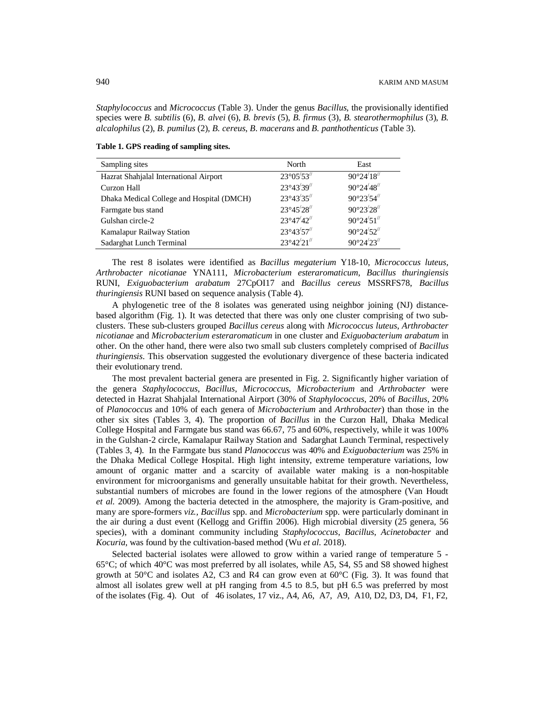*Staphylococcus* and *Micrococcus* (Table 3). Under the genus *Bacillus*, the provisionally identified species were *B. subtilis* (6), *B. alvei* (6), *B. brevis* (5), *B. firmus* (3), *B. stearothermophilus* (3), *B. alcalophilus* (2), *B. pumilus* (2), *B. cereus*, *B*. *macerans* and *B. panthothenticus* (Table 3).

**Table 1. GPS reading of sampling sites.**

| Sampling sites                            | North                                    | East                |
|-------------------------------------------|------------------------------------------|---------------------|
| Hazrat Shahjalal International Airport    | 23°05'53"                                | $90^{\circ}24'18''$ |
| Curzon Hall                               | 23°43'39"                                | $90^{\circ}24'48''$ |
| Dhaka Medical College and Hospital (DMCH) | 23°43'35"                                | 90°23′54″           |
| Farmgate bus stand                        | 23°45'28"                                | 90°23'28"           |
| Gulshan circle-2                          | $23^{\circ}47'42''$                      | $90^{\circ}24'51''$ |
| Kamalapur Railway Station                 | 23°43'57"                                | $90^{\circ}24'52''$ |
| Sadarghat Lunch Terminal                  | $23^{\circ}42^{\prime}21^{\prime\prime}$ | $90^{\circ}24'23''$ |

The rest 8 isolates were identified as *Bacillus megaterium* Y18-10, *Micrococcus luteus, Arthrobacter nicotianae* YNA111, *Microbacterium esteraromaticum*, *Bacillus thuringiensis* RUNI, *Exiguobacterium arabatum* 27CpOI17 and *Bacillus cereus* MSSRFS78, *Bacillus thuringiensis* RUNI based on sequence analysis (Table 4).

A phylogenetic tree of the 8 isolates was generated using neighbor joining (NJ) distancebased algorithm (Fig. 1). It was detected that there was only one cluster comprising of two subclusters. These sub-clusters grouped *Bacillus cereus* along with *Micrococcus luteus*, *Arthrobacter nicotianae* and *Microbacterium esteraromaticum* in one cluster and *Exiguobacterium arabatum* in other. On the other hand, there were also two small sub clusters completely comprised of *Bacillus thuringiensis*. This observation suggested the evolutionary divergence of these bacteria indicated their evolutionary trend.

The most prevalent bacterial genera are presented in Fig. 2. Significantly higher variation of the genera *Staphylococcus*, *Bacillus*, *Micrococcus*, *Microbacterium* and *Arthrobacter* were detected in Hazrat Shahjalal International Airport (30% of *Staphylococcus*, 20% of *Bacillus*, 20% of *Planococcus* and 10% of each genera of *Microbacterium* and *Arthrobacter*) than those in the other six sites (Tables 3, 4). The proportion of *Bacillus* in the Curzon Hall, Dhaka Medical College Hospital and Farmgate bus stand was 66.67, 75 and 60%, respectively, while it was 100% in the Gulshan-2 circle, Kamalapur Railway Station and Sadarghat Launch Terminal, respectively (Tables 3, 4). In the Farmgate bus stand *Planococcus* was 40% and *Exiguobacterium* was 25% in the Dhaka Medical College Hospital. High light intensity, extreme temperature variations, low amount of organic matter and a scarcity of available water making is a non-hospitable environment for microorganisms and generally unsuitable habitat for their growth. Nevertheless, substantial numbers of microbes are found in the lower regions of the atmosphere (Van Houdt *et al.* 2009). Among the bacteria detected in the atmosphere, the majority is Gram-positive, and many are spore-formers *viz., Bacillus* spp. and *Microbacterium* spp. were particularly dominant in the air during a dust event (Kellogg and Griffin 2006). High microbial diversity (25 genera, 56 species), with a dominant community including *Staphylococcus*, *Bacillus*, *Acinetobacter* and *Kocuria*, was found by the cultivation-based method (Wu *et al.* 2018).

Selected bacterial isolates were allowed to grow within a varied range of temperature 5 - 65°C; of which 40°C was most preferred by all isolates, while A5, S4, S5 and S8 showed highest growth at  $50^{\circ}$ C and isolates A2, C3 and R4 can grow even at  $60^{\circ}$ C (Fig. 3). It was found that almost all isolates grew well at pH ranging from 4.5 to 8.5, but pH 6.5 was preferred by most of the isolates (Fig. 4). Out of 46 isolates, 17 viz., A4, A6, A7, A9, A10, D2, D3, D4, F1, F2,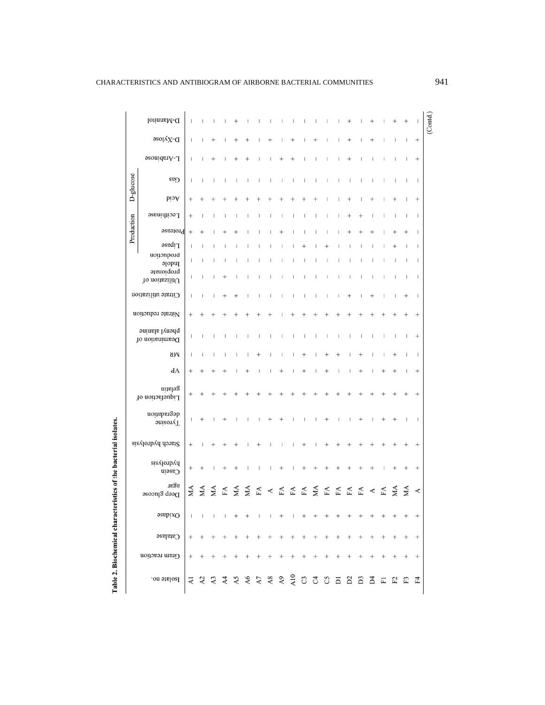| I<br>١        |  |
|---------------|--|
| i<br>֡֡֡֡֡֡֡֡ |  |
| i             |  |
| ŕ             |  |

|                                  | D-Mannitol                     | I                                     |                |                |                | $^+$ |                               | ı  | T | I                        | L                        | $\overline{\phantom{a}}$ | $\overline{\phantom{a}}$              | t          | I                        | $^+$   |              |          |                          | $^+$                     |                          |                                       | (Contd.) |
|----------------------------------|--------------------------------|---------------------------------------|----------------|----------------|----------------|------|-------------------------------|----|---|--------------------------|--------------------------|--------------------------|---------------------------------------|------------|--------------------------|--------|--------------|----------|--------------------------|--------------------------|--------------------------|---------------------------------------|----------|
|                                  | $D-X\lambda$ lose              | I                                     |                |                |                |      |                               |    |   |                          | $^+$                     |                          | $^{+}$                                | I          | I                        | $^{+}$ |              | $^{+}$   |                          |                          | $\mathbf{I}$             | $\qquad \qquad +$                     |          |
|                                  | L-Arabinose                    | I                                     |                |                |                |      |                               |    |   |                          |                          |                          | ı                                     | I          | 1                        | $^+$   |              |          |                          | T                        |                          | $\qquad \qquad +$                     |          |
|                                  | Gas                            | $\overline{\phantom{a}}$              | I              |                |                |      |                               | I  | I | $\overline{\phantom{a}}$ | $\mathsf I$              | $\overline{\phantom{a}}$ | $\begin{array}{c} \hline \end{array}$ | I          | $\mid$                   | I      | I            | I        |                          | $\overline{\phantom{a}}$ | $\overline{\phantom{a}}$ | $\overline{\phantom{a}}$              |          |
| D-glucose                        | hcid                           |                                       |                |                |                |      |                               |    |   |                          |                          |                          |                                       |            |                          |        |              |          |                          |                          |                          | $^{+}$                                |          |
|                                  | Lecithinase                    | $^+$                                  |                |                |                |      |                               |    |   | J                        | J                        |                          |                                       | T          |                          |        | +            |          |                          |                          |                          | 1                                     |          |
| Production                       | Protease                       | $^{+}$                                | $^{+}$         |                |                |      |                               |    |   |                          |                          |                          |                                       |            |                          |        |              |          |                          |                          |                          | $\overline{\phantom{a}}$              |          |
|                                  | Lipase                         | I                                     |                |                |                |      |                               |    |   |                          |                          | ╅                        |                                       |            |                          |        |              |          |                          |                          |                          | $\mathbf{I}$                          |          |
|                                  | notionbord<br>p<br>propionate  | ı                                     |                |                |                |      |                               |    |   |                          |                          | L                        |                                       | 1          | $\overline{\phantom{a}}$ |        |              |          |                          | 1                        | 1                        | $\mathbf{I}$                          |          |
|                                  | To noits<br>silitU             | ı                                     |                |                |                |      |                               |    |   |                          | I                        |                          |                                       |            | 1                        |        |              |          |                          |                          |                          | $\mathsf{I}$                          |          |
|                                  | Citrate utilization            | T                                     |                |                |                |      |                               |    |   | I                        | $\overline{\phantom{a}}$ | $\overline{\phantom{a}}$ | $\overline{\phantom{a}}$              | I,         | I                        | +      |              | $\,{}^+$ |                          |                          | $^+$                     | $\begin{array}{c} \hline \end{array}$ |          |
|                                  | Nitrate reduction              | $^+$                                  |                |                |                |      |                               |    |   |                          |                          |                          |                                       |            |                          |        |              |          |                          |                          |                          | $^{+}$                                |          |
| phenyl alanine<br>Deamination of |                                | J.                                    | ı              |                |                | I    |                               | ı  | 1 | $\overline{\phantom{a}}$ | L                        | $\overline{\phantom{a}}$ | $\mid$                                | I          | $\overline{\phantom{a}}$ | I      | 1            | ı        | $\overline{\phantom{a}}$ | $\overline{\phantom{a}}$ | $\vert$                  | $\qquad \qquad +$                     |          |
|                                  | МK                             | J                                     |                |                |                |      |                               |    |   |                          |                          | $^+$                     |                                       |            |                          |        | $\,{}^{+}\,$ |          |                          | $^+$                     |                          | $\mathbf{I}$                          |          |
|                                  | $\mathrm{d}\Lambda$            |                                       |                |                |                |      |                               |    |   | $^+$                     |                          | $^+$                     |                                       |            |                          |        | $\,{}^+$     |          |                          |                          |                          | $^{+}$                                |          |
|                                  | gelatin<br>Liquefaction of     |                                       |                |                |                |      |                               |    |   |                          |                          |                          |                                       |            |                          |        |              |          |                          |                          |                          | $^{+}$                                |          |
|                                  | degradation<br><b>Tyrosine</b> |                                       |                |                |                |      |                               |    |   |                          |                          |                          |                                       | $\,^+$     |                          |        |              |          |                          |                          |                          | $\mathsf{I}$                          |          |
|                                  | Starch hydrolysis              | $^{+}$                                |                |                |                |      |                               |    |   |                          |                          | $^+$                     |                                       |            |                          |        |              |          |                          |                          |                          | $\! +$                                |          |
|                                  | hydrolysis<br>Casein           | $^+$                                  |                |                |                |      |                               |    |   | $^+$                     |                          |                          |                                       |            |                          |        |              |          |                          | $^+$                     |                          | $^{+}$                                |          |
|                                  | agar<br>$D$ eep glucose        | MA                                    | MA             | МA             | FA             | МA   | МA                            | FA | ⋖ | ${\rm F}\Lambda$         | FA                       | ${\rm FA}$               | MA                                    | ${\rm FA}$ | FA                       | FA     | FA           |          | FA                       | ЖÅ                       | МA                       | ≺                                     |          |
|                                  | $Ox$ idase                     | $\begin{array}{c} \hline \end{array}$ | $\overline{1}$ | $\mathsf{I}$   |                |      |                               |    |   | $^{+}$                   |                          |                          |                                       |            |                          |        |              |          |                          |                          |                          | $^{+}$                                |          |
|                                  | <b>Catalase</b>                | $^{+}$                                |                |                |                |      |                               |    |   |                          | $\! + \!\!\!\!$          |                          |                                       |            |                          |        |              |          |                          |                          |                          | $\! + \!\!\!\!$                       |          |
|                                  | Gram reaction                  | $^+$                                  |                |                |                |      |                               |    |   |                          |                          |                          |                                       |            |                          |        | $^{+}$       |          |                          |                          |                          |                                       |          |
| Isolate no.                      |                                | <b>Z</b>                              | A <sub>2</sub> | A <sub>3</sub> | A <sub>4</sub> |      | $\frac{\text{AS}}{\text{A6}}$ |    |   |                          |                          |                          |                                       |            |                          |        |              |          |                          |                          |                          | $_{\rm F4}$                           |          |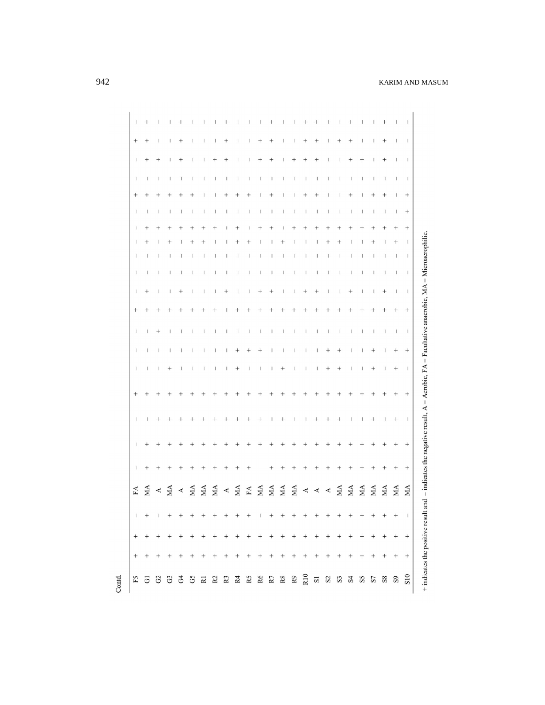| $\perp$         | $^{+}$         |              |                          |                |                                       |                                                                                                                                                                                                                                                                                                                                                                                                                                                                                                                                                                                                         |                                       | $^+$            |                    | т                                     | Ш                 | $^+$           |                          |                                 | $^+$                     |                |                  |        |              |                  |                                | +                 |                          | $\overline{1}$                   |
|-----------------|----------------|--------------|--------------------------|----------------|---------------------------------------|---------------------------------------------------------------------------------------------------------------------------------------------------------------------------------------------------------------------------------------------------------------------------------------------------------------------------------------------------------------------------------------------------------------------------------------------------------------------------------------------------------------------------------------------------------------------------------------------------------|---------------------------------------|-----------------|--------------------|---------------------------------------|-------------------|----------------|--------------------------|---------------------------------|--------------------------|----------------|------------------|--------|--------------|------------------|--------------------------------|-------------------|--------------------------|----------------------------------|
| $\! + \!\!\!\!$ | $^{+}$         | $\mathbf{I}$ | $\mathsf{I}$             | $^{+}$         |                                       | $\mathbf{I}$                                                                                                                                                                                                                                                                                                                                                                                                                                                                                                                                                                                            | 1                                     | $\! + \!\!\!\!$ | $\mathsf{I}$       | $\begin{array}{c} \hline \end{array}$ | $^{+}$            | $^{+}$         | $\mathsf{I}$             | $\mathsf{I}$                    | $^{+}$                   | $^{+}$         | I                | $^{+}$ | $^+$         |                  |                                | $^{+}$            | $\mathbf{I}$             | $\Box$                           |
|                 |                |              |                          |                |                                       |                                                                                                                                                                                                                                                                                                                                                                                                                                                                                                                                                                                                         |                                       |                 |                    |                                       |                   |                |                          |                                 |                          |                |                  |        |              |                  |                                |                   |                          |                                  |
| -1              | $^{+}$         | $^{+}$       | $\overline{\phantom{a}}$ | $^{+}$         |                                       |                                                                                                                                                                                                                                                                                                                                                                                                                                                                                                                                                                                                         | $^{+}$                                | $^{+}$          | I                  | T                                     |                   | $^{+}$         | $\mathsf{I}$             | $^{+}$                          | $^{+}$                   | $^{+}$         | $\mathsf{I}$     |        | $^+$         | $^{+}$           |                                | $^{+}$            | $\mathbf{I}$             | $\Box$                           |
| $\mathbf{1}$    | $\mathbf{I}$   | $\mathbf{I}$ | $\mathbf{I}$             | $\mathsf{I}$   | $\begin{array}{c} \hline \end{array}$ |                                                                                                                                                                                                                                                                                                                                                                                                                                                                                                                                                                                                         | $\overline{\phantom{a}}$              | t               | $\mathbf{I}$       | $\mathbf{I}$                          | T                 | $\mathsf{I}$   | $\mathsf{I}$             | $\mathsf I$                     | $\mathbb{I}$             | $\mathbf{I}$   | $\mathsf{I}$     | T      |              | T                | $\mathsf{I}$                   | $\mathbf{I}$      | $\mathbf{I}$             | $\Box$                           |
|                 |                |              |                          |                |                                       |                                                                                                                                                                                                                                                                                                                                                                                                                                                                                                                                                                                                         |                                       |                 |                    |                                       |                   | $^{+}$         |                          |                                 | $^+$                     | $^{+}$         |                  |        | $^+$         |                  |                                | $^{+}$            | $\mathbf{I}$             | $^{+}$                           |
| $\perp$         | $\mathbf{I}$   | $\mathbf{I}$ | $\mathbf{I}$             | $\overline{1}$ | $\mathbf{I}$                          | $\mathbf{I}$                                                                                                                                                                                                                                                                                                                                                                                                                                                                                                                                                                                            | $\begin{array}{c} \hline \end{array}$ | т               | T                  | $\mathbf{I}$                          | $\mathbf{I}$      | $\mathbf{I}$   | $\overline{1}$           | $\mathsf{L}$                    | $\perp$                  | $\mathbf{I}$   | $\perp$          | т      | $\mathbf{I}$ | T                | $\mathbf{I}$                   | $\overline{1}$    | $\perp$                  | $^{+}$                           |
| $\mathbf{I}$    | $^{+}$         |              |                          |                |                                       |                                                                                                                                                                                                                                                                                                                                                                                                                                                                                                                                                                                                         | $^{+}$                                |                 | $^+$               |                                       |                   | $^{+}$         | $^{+}$                   |                                 | 1                        |                |                  |        |              |                  |                                | $^+$              | $^{+}$<br>$^{+}$         | $^+$<br>$\overline{\phantom{0}}$ |
|                 | $^+$<br>- 11   | $\mathbf{1}$ | $\perp$                  | $\mathbf{I}$   | $\mathbf{I}$                          | $\mathbf{I}$                                                                                                                                                                                                                                                                                                                                                                                                                                                                                                                                                                                            | T                                     | T               | т                  | $\mathsf{I}$                          | $\mathsf{I}$      | $\mathbf{I}$   | - 1                      | T.                              | $\overline{1}$           | $\overline{1}$ | $\perp$          | -1     | L            | J.               | $\mathbf{I}$                   | $\perp$           | $\Box$                   | $\overline{1}$                   |
| -1              | $\mathbf{I}$   | $\mathsf{I}$ | $\mathsf{I}$             | I              | $\mathbf{I}$                          | $\mathsf{I}$                                                                                                                                                                                                                                                                                                                                                                                                                                                                                                                                                                                            | $\mathbf{I}$                          | L               | Т                  | $\mathbf{I}$                          | $\mathsf{I}$      | $\mathbf{1}$   | $\overline{\phantom{0}}$ | $\mathsf{I}$                    | $\Box$                   | $\mathbf{I}$   | $\mathbf{I}$     | I      | Т            | 1                | $\overline{\phantom{a}}$       | $\mathbf{I}$      | $\Box$                   | $\Box$                           |
| $\mathbf{I}$    | $^{+}$         | $\mathbf{I}$ | $\mathbf{L}$             | $^{+}$         | $\mathbf{I}$                          | $\mathbf{I}$                                                                                                                                                                                                                                                                                                                                                                                                                                                                                                                                                                                            | $\mathbf{I}$                          | $^{+}$          | Т                  | т                                     | $^{+}$            | $^+$           | $\mathsf{I}$             |                                 | $^{+}$                   | $^{+}$         | $\mathbf{I}$     |        | $^{+}$       |                  |                                | $^{+}$            | $\blacksquare$           | $\overline{1}$                   |
| $^{+}$          |                |              |                          |                |                                       |                                                                                                                                                                                                                                                                                                                                                                                                                                                                                                                                                                                                         | $^{+}$                                |                 |                    |                                       |                   |                |                          |                                 |                          |                |                  |        |              |                  |                                |                   |                          | $^{+}$                           |
|                 |                |              |                          |                |                                       |                                                                                                                                                                                                                                                                                                                                                                                                                                                                                                                                                                                                         |                                       |                 |                    |                                       |                   |                |                          |                                 |                          |                |                  |        |              |                  |                                |                   |                          |                                  |
| $\mathbf{I}$    | $\mathsf{I}$   | $^{+}$       | $\overline{\phantom{a}}$ |                |                                       | $\mathbf{I}$                                                                                                                                                                                                                                                                                                                                                                                                                                                                                                                                                                                            | $\begin{array}{c} \hline \end{array}$ | T               | $\mathsf{I}$       | $\mathbf{I}$                          | $\perp$           | $\overline{1}$ | $\overline{\phantom{0}}$ | $\mathbf{I}$                    | $\Box$                   | $\mathbf{I}$   | $\pm$            | 1      | Т            | J.               | $\begin{array}{c} \end{array}$ | $\perp$           | $\overline{\phantom{0}}$ | $\pm$                            |
| $\top$          | $\mathbf{I}$   | $\mathsf{I}$ | $\mathbf{I}$             | $\mathsf{I}$   |                                       |                                                                                                                                                                                                                                                                                                                                                                                                                                                                                                                                                                                                         | $\begin{array}{c} \hline \end{array}$ | T               | $\hspace{0.1mm} +$ | $^{+}$                                | $^{+}$            | $\mathsf{I}$   | $\mathsf{I}$             | L                               | $\,$ $\,$                | $\mathbf{I}$   | $^{+}$           | $^{+}$ |              |                  | $^{+}$                         | $\mathsf{I}$      | $^{+}$                   | $+$                              |
| $\perp$         | $\overline{1}$ | $\mathsf{I}$ | $^{+}$                   | $\overline{1}$ | $\mathbf{I}$                          | $\mathbf{I}$                                                                                                                                                                                                                                                                                                                                                                                                                                                                                                                                                                                            | $\mathsf I$                           | Τ.              | $^{+}$             | $\mathbb{R}$                          | $-1$              | $\mathbf{1}$   | $^{+}$                   | $\mathbf{I}$                    | $\overline{\phantom{0}}$ | $\mathbf{I}$   | $^{+}$           | $^+$   | т            | T                | $^{+}$                         | $\mathsf{I}$      | $^{+}$                   | $\overline{\phantom{0}}$         |
| $^{+}$          |                |              |                          |                |                                       |                                                                                                                                                                                                                                                                                                                                                                                                                                                                                                                                                                                                         |                                       |                 |                    |                                       |                   |                |                          |                                 |                          |                |                  |        |              |                  |                                | $^{+}$            | $^{+}$                   | $^{+}$                           |
| $\mathbb{I}$    |                |              |                          |                |                                       |                                                                                                                                                                                                                                                                                                                                                                                                                                                                                                                                                                                                         |                                       |                 |                    |                                       |                   |                | $^+$                     | $\mathsf{I}$                    | $\mathbf{I}$             | $^+$           | $^+$             |        |              |                  | $^{+}$                         | $\top$            | $+$                      | $\Box$                           |
| $\mathbf{I}$    |                |              |                          |                |                                       |                                                                                                                                                                                                                                                                                                                                                                                                                                                                                                                                                                                                         |                                       |                 |                    |                                       |                   |                |                          |                                 |                          |                |                  |        |              |                  |                                |                   |                          | $\qquad \qquad +$                |
| $\mathbf{I}$    | $^{+}$         |              |                          |                |                                       |                                                                                                                                                                                                                                                                                                                                                                                                                                                                                                                                                                                                         |                                       |                 |                    |                                       |                   | $^{+}$         | $^{+}$                   | $^{+}$                          | $^{+}$                   |                |                  |        |              |                  |                                | $^{+}$            | $^{+}$                   | $+$                              |
| ${\rm FA}$      | МA             |              |                          |                |                                       | $\begin{array}{rcl}\n 4 & \underline{A} & \underline{A} & \underline{A} & \underline{A} & \underline{A} & \underline{A} & \underline{A} & \underline{A} & \underline{A} & \underline{A} & \underline{A} & \underline{A} & \underline{A} & \underline{A} & \underline{A} & \underline{A} & \underline{A} & \underline{A} & \underline{A} & \underline{A} & \underline{A} & \underline{A} & \underline{A} & \underline{A} & \underline{A} & \underline{A} & \underline{A} & \underline{A} & \underline{A} & \underline{A} & \underline{A} & \underline{A} & \underline{A} & \underline{A} & \underline{A$ |                                       |                 |                    |                                       |                   |                |                          |                                 |                          |                | $\blacktriangle$ | MA     |              | MA<br>MA         |                                | MA                | MA                       | MA                               |
| $\perp$         |                |              | $\! + \!\!\!\!$          | $^{+}$         | $^{+}$                                |                                                                                                                                                                                                                                                                                                                                                                                                                                                                                                                                                                                                         |                                       | $^{+}$          |                    | $\! +$                                | $\perp$           | $+$ +          |                          | $+$                             | $+$ +                    |                | $+$              | $\! +$ | $\! + \!$    | $\boldsymbol{+}$ |                                |                   | $^{+}$                   | $\blacksquare$                   |
| $\! + \!\!\!\!$ |                |              |                          | $^{+}$         | $^{+}$                                | $^{+}$                                                                                                                                                                                                                                                                                                                                                                                                                                                                                                                                                                                                  | $^+$                                  | $\! + \!$       | $\! +$             | $\boldsymbol{+}$                      | $\boldsymbol{+}$  |                |                          | $+ + + + + + + + + + +$         |                          |                |                  |        |              |                  | $^+$                           | $\qquad \qquad +$ | $^{+}$                   | $^+$                             |
| $^+$            |                |              |                          |                |                                       | $^{+}$                                                                                                                                                                                                                                                                                                                                                                                                                                                                                                                                                                                                  | $^{+}$                                | $^{+}$          |                    | $^{+}$                                | $\qquad \qquad +$ |                |                          | $+\quad +\quad +\quad +\quad +$ |                          |                | $^+$             | $^+$   | $+$          |                  |                                |                   |                          | $\boldsymbol{+}$                 |
|                 |                |              |                          |                |                                       |                                                                                                                                                                                                                                                                                                                                                                                                                                                                                                                                                                                                         |                                       |                 |                    |                                       |                   |                |                          |                                 |                          |                |                  |        |              |                  |                                |                   |                          |                                  |

Contd.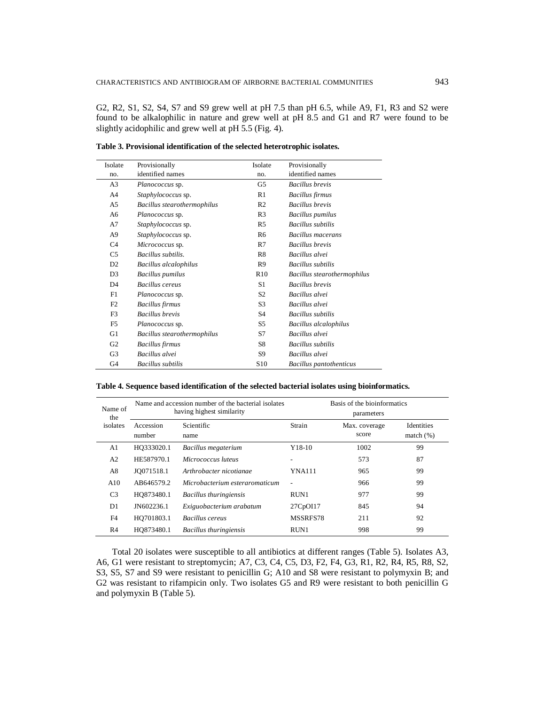G2, R2, S1, S2, S4, S7 and S9 grew well at pH 7.5 than pH 6.5, while A9, F1, R3 and S2 were found to be alkalophilic in nature and grew well at pH 8.5 and G1 and R7 were found to be slightly acidophilic and grew well at pH 5.5 (Fig. 4).

| Isolate        | Provisionally               | Isolate         | Provisionally                  |
|----------------|-----------------------------|-----------------|--------------------------------|
| no.            | identified names            | no.             | identified names               |
| A <sub>3</sub> | <i>Planococcus</i> sp.      | G5              | <b>Bacillus</b> brevis         |
| A4             | Staphylococcus sp.          | R1              | <b>Bacillus firmus</b>         |
| A5             | Bacillus stearothermophilus | R <sub>2</sub>  | <b>Bacillus</b> brevis         |
| A6             | Planococcus sp.             | R <sub>3</sub>  | <b>Bacillus pumilus</b>        |
| A7             | Staphylococcus sp.          | R <sub>5</sub>  | <b>Bacillus</b> subtilis       |
| A9             | Staphylococcus sp.          | R6              | Bacillus macerans              |
| C <sub>4</sub> | Micrococcus sp.             | R7              | <b>Bacillus</b> brevis         |
| C5             | Bacillus subtilis.          | R8              | Bacillus alvei                 |
| D <sub>2</sub> | Bacillus alcalophilus       | R <sub>9</sub>  | <b>Bacillus</b> subtilis       |
| D <sub>3</sub> | <b>Bacillus</b> pumilus     | R10             | Bacillus stearothermophilus    |
| D <sub>4</sub> | Bacillus cereus             | S1              | <b>Bacillus</b> brevis         |
| F1             | Planococcus sp.             | S <sub>2</sub>  | Bacillus alvei                 |
| F2             | <b>Bacillus</b> firmus      | S <sub>3</sub>  | Bacillus alvei                 |
| F3             | <b>Bacillus</b> brevis      | S4              | <b>Bacillus</b> subtilis       |
| F5             | Planococcus sp.             | S5              | <b>Bacillus</b> alcalophilus   |
| G1             | Bacillus stearothermophilus | S7              | Bacillus alvei                 |
| G <sub>2</sub> | <b>Bacillus</b> firmus      | S8              | <b>Bacillus</b> subtilis       |
| G3             | Bacillus alvei              | S9              | Bacillus alvei                 |
| G4             | Bacillus subtilis           | S <sub>10</sub> | <b>Bacillus pantothenticus</b> |

**Table 3. Provisional identification of the selected heterotrophic isolates.**

## **Table 4. Sequence based identification of the selected bacterial isolates using bioinformatics.**

| Name of<br>the |                     | Name and accession number of the bacterial isolates<br>having highest similarity | Basis of the bioinformatics<br>parameters |                        |                                   |  |  |  |  |  |
|----------------|---------------------|----------------------------------------------------------------------------------|-------------------------------------------|------------------------|-----------------------------------|--|--|--|--|--|
| isolates       | Accession<br>number | Scientific<br>name                                                               | Strain                                    | Max. coverage<br>score | <b>Identities</b><br>match $(\%)$ |  |  |  |  |  |
| A1             | HQ333020.1          | Bacillus megaterium                                                              | $Y18-10$                                  | 1002                   | 99                                |  |  |  |  |  |
| A <sub>2</sub> | HE587970.1          | Micrococcus luteus                                                               |                                           | 573                    | 87                                |  |  |  |  |  |
| A8             | JO071518.1          | Arthrobacter nicotianae                                                          | <b>YNA111</b>                             | 965                    | 99                                |  |  |  |  |  |
| A10            | AB646579.2          | Microbacterium esteraromaticum                                                   | ÷.                                        | 966                    | 99                                |  |  |  |  |  |
| C <sub>3</sub> | HO873480.1          | Bacillus thuringiensis                                                           | RUN1                                      | 977                    | 99                                |  |  |  |  |  |
| D1             | JN602236.1          | Exiguobacterium arabatum                                                         | 27CpOI17                                  | 845                    | 94                                |  |  |  |  |  |
| F4             | HO701803.1          | Bacillus cereus                                                                  | MSSRFS78                                  | 211                    | 92                                |  |  |  |  |  |
| R <sub>4</sub> | HO873480.1          | Bacillus thuringiensis                                                           | RUN1                                      | 998                    | 99                                |  |  |  |  |  |

Total 20 isolates were susceptible to all antibiotics at different ranges (Table 5). Isolates A3, A6, G1 were resistant to streptomycin; A7, C3, C4, C5, D3, F2, F4, G3, R1, R2, R4, R5, R8, S2, S3, S5, S7 and S9 were resistant to penicillin G; A10 and S8 were resistant to polymyxin B; and G2 was resistant to rifampicin only. Two isolates G5 and R9 were resistant to both penicillin G and polymyxin B (Table 5).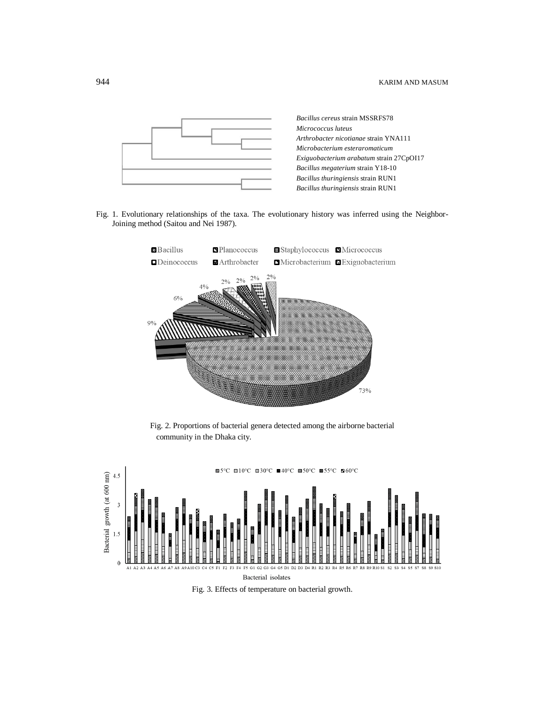

Fig. 1. Evolutionary relationships of the taxa. The evolutionary history was inferred using the Neighbor-Joining method (Saitou and Nei 1987).



Fig. 2. Proportions of bacterial genera detected among the airborne bacterial community in the Dhaka city.



Fig. 3. Effects of temperature on bacterial growth.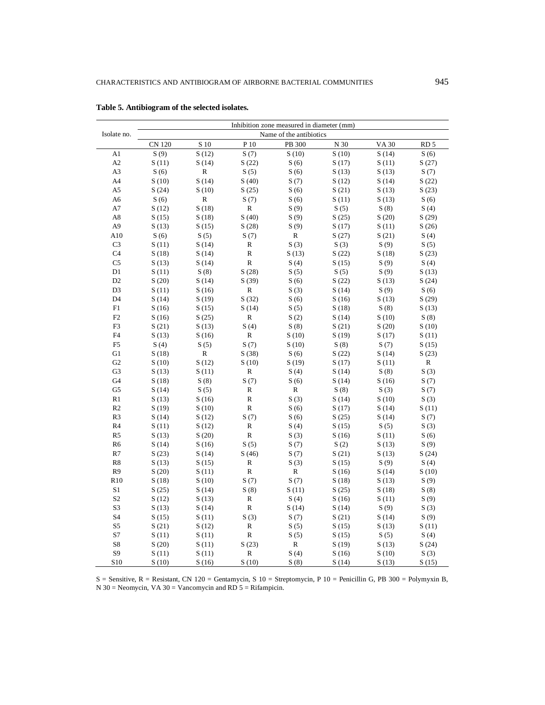|                | Inhibition zone measured in diameter (mm) |              |              |                         |                 |             |                 |  |  |  |  |  |  |
|----------------|-------------------------------------------|--------------|--------------|-------------------------|-----------------|-------------|-----------------|--|--|--|--|--|--|
| Isolate no.    |                                           |              |              | Name of the antibiotics |                 |             |                 |  |  |  |  |  |  |
|                | <b>CN 120</b>                             | S 10         | P 10         | PB 300                  | N <sub>30</sub> | <b>VA30</b> | RD <sub>5</sub> |  |  |  |  |  |  |
| A1             | S(9)                                      | S(12)        | S(7)         | S(10)                   | S(10)           | S(14)       | S(6)            |  |  |  |  |  |  |
| A2             | S(11)                                     | S(14)        | S(22)        | S(6)                    | S(17)           | S(11)       | S(27)           |  |  |  |  |  |  |
| A3             | S(6)                                      | $\mathbf R$  | S(5)         | S(6)                    | S(13)           | S(13)       | S(7)            |  |  |  |  |  |  |
| A4             | S(10)                                     | S(14)        | S(40)        | S(7)                    | S(12)           | S(14)       | S(22)           |  |  |  |  |  |  |
| A5             | S(24)                                     | S(10)        | S(25)        | S(6)                    | S(21)           | S(13)       | S(23)           |  |  |  |  |  |  |
| A6             | S(6)                                      | ${\bf R}$    | S(7)         | S(6)                    | S(11)           | S(13)       | S(6)            |  |  |  |  |  |  |
| A7             | S(12)                                     | S(18)        | ${\bf R}$    | S(9)                    | S(5)            | S(8)        | S(4)            |  |  |  |  |  |  |
| A8             | S(15)                                     | S(18)        | S(40)        | S(9)                    | S(25)           | S(20)       | S(29)           |  |  |  |  |  |  |
| A9             | S(13)                                     | S(15)        | S(28)        | S(9)                    | S(17)           | S(11)       | S(26)           |  |  |  |  |  |  |
| A10            | S(6)                                      | S(5)         | S(7)         | R                       | S(27)           | S(21)       | S(4)            |  |  |  |  |  |  |
| C <sub>3</sub> | S(11)                                     | S(14)        | $\mathbb R$  | S(3)                    | S(3)            | S(9)        | S(5)            |  |  |  |  |  |  |
| C <sub>4</sub> | S(18)                                     | S(14)        | $\mathbb R$  | S(13)                   | S(22)           | S(18)       | S(23)           |  |  |  |  |  |  |
| C <sub>5</sub> | S(13)                                     | S(14)        | ${\bf R}$    | S(4)                    | S(15)           | S(9)        | S(4)            |  |  |  |  |  |  |
| $\mathbf{D}1$  | S(11)                                     | S(8)         | S(28)        | S(5)                    | S(5)            | S(9)        | S(13)           |  |  |  |  |  |  |
| D2             | S(20)                                     | S(14)        | S(39)        | S(6)                    | S(22)           | S(13)       | S(24)           |  |  |  |  |  |  |
| D <sub>3</sub> | S(11)                                     | S(16)        | ${\bf R}$    | S(3)                    | S(14)           | S(9)        | S(6)            |  |  |  |  |  |  |
| D <sub>4</sub> | S(14)                                     | S(19)        | S(32)        | S(6)                    | S(16)           | S(13)       | S(29)           |  |  |  |  |  |  |
| F1             | S(16)                                     | S(15)        | S(14)        | S(5)                    | S(18)           | S(8)        | S(13)           |  |  |  |  |  |  |
| F2             | S(16)                                     | S(25)        | ${\bf R}$    | S(2)                    | S(14)           | S(10)       | S(8)            |  |  |  |  |  |  |
| F3             | S(21)                                     | S(13)        | S(4)         | S(8)                    | S(21)           | S(20)       | S(10)           |  |  |  |  |  |  |
| F4             | S(13)                                     | S(16)        | ${\bf R}$    | S(10)                   | S(19)           | S(17)       | S(11)           |  |  |  |  |  |  |
| F5             | S(4)                                      | S(5)         | S(7)         | S(10)                   | S(8)            | S(7)        | S(15)           |  |  |  |  |  |  |
| G1             | S(18)                                     | $\mathbb{R}$ | S(38)        | S(6)                    | S(22)           | S(14)       | S(23)           |  |  |  |  |  |  |
| G <sub>2</sub> | S(10)                                     | S(12)        | S(10)        | S(19)                   | S(17)           | S(11)       | ${\bf R}$       |  |  |  |  |  |  |
| G <sub>3</sub> | S(13)                                     | S(11)        | $\mathbb R$  | S(4)                    | S(14)           | S(8)        | S(3)            |  |  |  |  |  |  |
| G4             | S(18)                                     | S(8)         | S(7)         | S(6)                    | S(14)           | S(16)       | S(7)            |  |  |  |  |  |  |
| G <sub>5</sub> | S(14)                                     | S(5)         | $\mathbb R$  | R                       | S(8)            | S(3)        | S(7)            |  |  |  |  |  |  |
| R1             | S(13)                                     | S(16)        | ${\bf R}$    | S(3)                    | S(14)           | S(10)       | S(3)            |  |  |  |  |  |  |
| R2             | S(19)                                     | S(10)        | ${\bf R}$    | S(6)                    | S(17)           | S(14)       | S(11)           |  |  |  |  |  |  |
| R <sub>3</sub> | S(14)                                     | S(12)        | S(7)         | S(6)                    | S(25)           | S(14)       | S(7)            |  |  |  |  |  |  |
| R <sub>4</sub> | S(11)                                     | S(12)        | $\mathbb R$  | S(4)                    | S(15)           | S(5)        | S(3)            |  |  |  |  |  |  |
| R <sub>5</sub> | S(13)                                     | S(20)        | ${\bf R}$    | S(3)                    | S(16)           | S(11)       | S(6)            |  |  |  |  |  |  |
| R <sub>6</sub> | S(14)                                     | S(16)        | S(5)         | S(7)                    | S(2)            | S(13)       | S(9)            |  |  |  |  |  |  |
| R7             | S(23)                                     | S(14)        | S(46)        | S(7)                    | S(21)           | S(13)       | S(24)           |  |  |  |  |  |  |
| R8             | S(13)                                     | S(15)        | $\mathbb R$  | S(3)                    | S(15)           | S(9)        | S(4)            |  |  |  |  |  |  |
| R9             | S(20)                                     | S(11)        | $\, {\bf R}$ | R                       | S(16)           | S(14)       | S(10)           |  |  |  |  |  |  |
| R10            | S(18)                                     | S(10)        | S(7)         | S(7)                    | S(18)           | S(13)       | S(9)            |  |  |  |  |  |  |
| S1             | S(25)                                     | S(14)        | S(8)         | S(11)                   | S(25)           | S(18)       | S(8)            |  |  |  |  |  |  |
| S <sub>2</sub> | S(12)                                     | S(13)        | $\mathbb R$  | S(4)                    | S(16)           | S(11)       | S(9)            |  |  |  |  |  |  |
| S3             | S(13)                                     | S(14)        | $\mathbb R$  | S(14)                   | S(14)           | S(9)        | S(3)            |  |  |  |  |  |  |
| S4             | S(15)                                     | S(11)        | S(3)         | S(7)                    | S(21)           | S(14)       | S(9)            |  |  |  |  |  |  |
| S5             | S(21)                                     | S(12)        | $\mathbb R$  | S(5)                    | S(15)           | S(13)       | S(11)           |  |  |  |  |  |  |
| S7             | S(11)                                     | S(11)        | ${\bf R}$    | S(5)                    | S(15)           | S(5)        | S(4)            |  |  |  |  |  |  |
| S8             | S(20)                                     | S(11)        | S(23)        | R                       | S(19)           | S(13)       | S(24)           |  |  |  |  |  |  |
| S <sub>9</sub> | S(11)                                     | S(11)        | ${\bf R}$    | S(4)                    | S(16)           | S(10)       | S(3)            |  |  |  |  |  |  |
| S10            | S(10)                                     | S(16)        | S(10)        | S(8)                    | S(14)           | S(13)       | S(15)           |  |  |  |  |  |  |

**Table 5. Antibiogram of the selected isolates.**

 $S =$  Sensitive,  $R =$  Resistant, CN 120 = Gentamycin, S 10 = Streptomycin, P 10 = Penicillin G, PB 300 = Polymyxin B, N 30 = Neomycin, VA 30 = Vancomycin and RD  $5 =$  Rifampicin.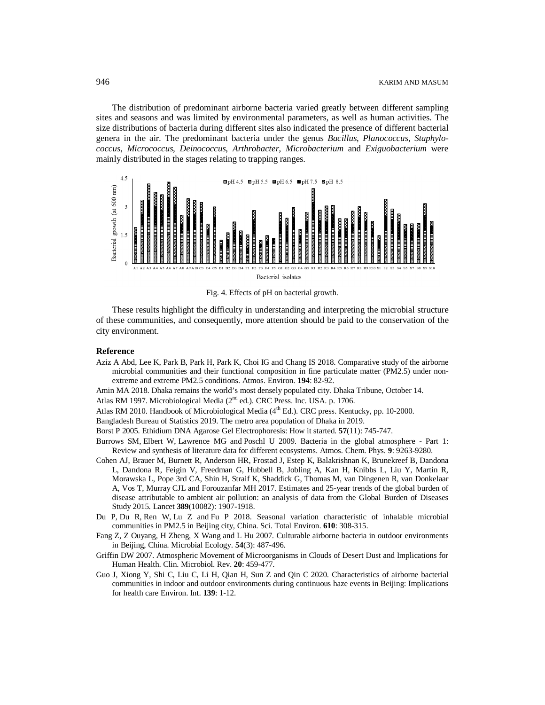The distribution of predominant airborne bacteria varied greatly between different sampling sites and seasons and was limited by environmental parameters, as well as human activities. The size distributions of bacteria during different sites also indicated the presence of different bacterial genera in the air. The predominant bacteria under the genus *Bacillus*, *Planococcus*, *Staphylococcus*, *Micrococcus*, *Deinococcus*, *Arthrobacter*, *Microbacterium* and *Exiguobacterium* were mainly distributed in the stages relating to trapping ranges.



Fig. 4. Effects of pH on bacterial growth.

These results highlight the difficulty in understanding and interpreting the microbial structure of these communities, and consequently, more attention should be paid to the conservation of the city environment.

#### **Reference**

Aziz A Abd, Lee K, Park B, Park H, Park K, Choi IG and Chang IS 2018. Comparative study of the airborne microbial communities and their functional composition in fine particulate matter (PM2.5) under nonextreme and extreme PM2.5 conditions. Atmos. Environ. **194**: 82-92.

Amin MA 2018. Dhaka remains the world's most densely populated city. Dhaka Tribune, October 14.

Atlas RM 1997. Microbiological Media (2<sup>nd</sup> ed.). CRC Press. Inc. USA. p. 1706.

Atlas RM 2010. Handbook of Microbiological Media  $(4<sup>th</sup> Ed.)$ . CRC press. Kentucky, pp. 10-2000.

Bangladesh Bureau of Statistics 2019. The metro area population of Dhaka in 2019.

Borst P 2005. Ethidium DNA Agarose Gel Electrophoresis: How it started. **57**(11): 745-747.

- Burrows SM, Elbert W, Lawrence MG and Poschl U 2009. Bacteria in the global atmosphere Part 1: Review and synthesis of literature data for different ecosystems. Atmos. Chem. Phys. **9**: 9263-9280.
- Cohen AJ, Brauer M, Burnett R, Anderson HR, Frostad J, Estep K, Balakrishnan K, Brunekreef B, Dandona L, Dandona R, Feigin V, Freedman G, Hubbell B, Jobling A, Kan H, Knibbs L, Liu Y, Martin R, Morawska L, Pope 3rd CA, Shin H, Straif K, Shaddick G, Thomas M, van Dingenen R, van Donkelaar A, Vos T, Murray CJL and Forouzanfar MH 2017. Estimates and 25-year trends of the global burden of disease attributable to ambient air pollution: an analysis of data from the Global Burden of Diseases Study 2015. Lancet **389**(10082): 1907-1918.
- Du P, Du R, Ren W, Lu Z and Fu P 2018. Seasonal variation characteristic of inhalable microbial communities in PM2.5 in Beijing city, China. Sci. Total Environ. **610**: 308-315.
- Fang Z, Z Ouyang, H Zheng, X Wang and L Hu 2007. Culturable airborne bacteria in outdoor environments in Beijing, China*.* Microbial Ecology. **54**(3): 487-496.
- Griffin DW 2007. Atmospheric Movement of Microorganisms in Clouds of Desert Dust and Implications for Human Health. Clin. Microbiol. Rev. **20**: 459-477.
- Guo J, Xiong Y, Shi C, Liu C, Li H, Qian H, Sun Z and Qin C 2020. Characteristics of airborne bacterial communities in indoor and outdoor environments during continuous haze events in Beijing: Implications for health care Environ. Int. **139**: 1-12.